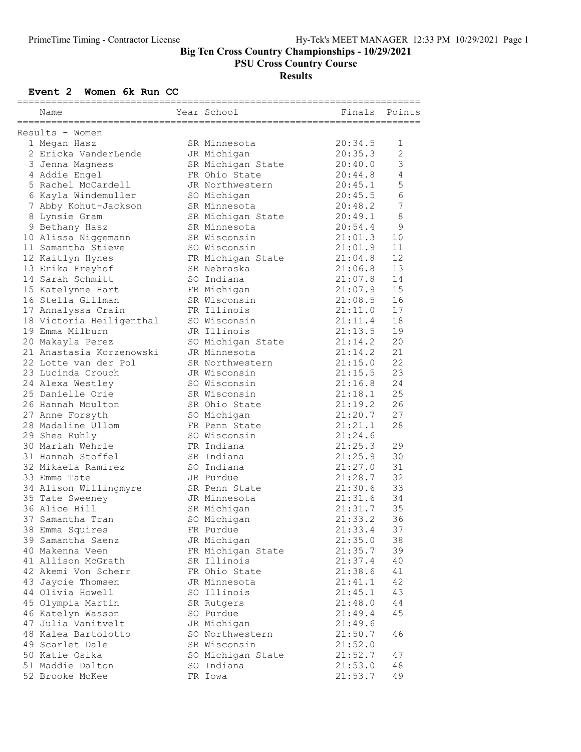PSU Cross Country Course

# Results

### Event 2 Women 6k Run CC

| .============================ |                                       |  |                                  |         |                |  |  |  |  |
|-------------------------------|---------------------------------------|--|----------------------------------|---------|----------------|--|--|--|--|
|                               | Name                                  |  | Year School                      | Finals  | Points         |  |  |  |  |
|                               |                                       |  |                                  |         |                |  |  |  |  |
|                               | Results - Women                       |  |                                  |         |                |  |  |  |  |
|                               | 1 Megan Hasz                          |  | SR Minnesota                     | 20:34.5 | 1              |  |  |  |  |
|                               | 2 Ericka VanderLende                  |  | JR Michigan                      | 20:35.3 | $\overline{2}$ |  |  |  |  |
|                               | 3 Jenna Magness                       |  | SR Michigan State                | 20:40.0 | 3              |  |  |  |  |
|                               | 4 Addie Engel                         |  | FR Ohio State                    | 20:44.8 | $\overline{4}$ |  |  |  |  |
|                               | 5 Rachel McCardell                    |  | JR Northwestern                  | 20:45.1 | 5              |  |  |  |  |
|                               | 6 Kayla Windemuller                   |  | SO Michigan                      | 20:45.5 | $\epsilon$     |  |  |  |  |
|                               | 7 Abby Kohut-Jackson                  |  | SR Minnesota                     | 20:48.2 | 7              |  |  |  |  |
|                               | 8 Lynsie Gram                         |  | SR Michigan State                | 20:49.1 | $\,8\,$        |  |  |  |  |
|                               | 9 Bethany Hasz                        |  | SR Minnesota                     | 20:54.4 | $\mathsf 9$    |  |  |  |  |
|                               | 10 Alissa Niggemann                   |  | SR Wisconsin                     | 21:01.3 | 10             |  |  |  |  |
|                               | 11 Samantha Stieve                    |  | SO Wisconsin                     | 21:01.9 | 11             |  |  |  |  |
|                               | 12 Kaitlyn Hynes                      |  | FR Michigan State                | 21:04.8 | 12             |  |  |  |  |
|                               | 13 Erika Freyhof                      |  | SR Nebraska                      | 21:06.8 | 13             |  |  |  |  |
|                               | 14 Sarah Schmitt                      |  | SO Indiana                       | 21:07.8 | 14             |  |  |  |  |
|                               | 15 Katelynne Hart                     |  | FR Michigan                      | 21:07.9 | 15             |  |  |  |  |
|                               | 16 Stella Gillman                     |  | SR Wisconsin                     | 21:08.5 | 16             |  |  |  |  |
|                               | 17 Annalyssa Crain                    |  | FR Illinois                      | 21:11.0 | 17             |  |  |  |  |
|                               | 18 Victoria Heiligenthal              |  | SO Wisconsin                     | 21:11.4 | 18             |  |  |  |  |
|                               | 19 Emma Milburn                       |  | JR Illinois                      | 21:13.5 | 19             |  |  |  |  |
|                               | 20 Makayla Perez                      |  | SO Michigan State                | 21:14.2 | 20             |  |  |  |  |
|                               | 21 Anastasia Korzenowski              |  | JR Minnesota                     | 21:14.2 | 21             |  |  |  |  |
|                               | 22 Lotte van der Pol                  |  | SR Northwestern                  | 21:15.0 | 22             |  |  |  |  |
|                               | 23 Lucinda Crouch                     |  | JR Wisconsin                     | 21:15.5 | 23             |  |  |  |  |
|                               | 24 Alexa Westley                      |  | SO Wisconsin                     | 21:16.8 | 24             |  |  |  |  |
|                               | 25 Danielle Orie                      |  | SR Wisconsin                     | 21:18.1 | 25             |  |  |  |  |
|                               | 26 Hannah Moulton                     |  | SR Ohio State                    | 21:19.2 | 26             |  |  |  |  |
|                               | 27 Anne Forsyth                       |  | SO Michigan                      | 21:20.7 | 27             |  |  |  |  |
|                               | 28 Madaline Ullom                     |  | FR Penn State                    | 21:21.1 | 28             |  |  |  |  |
|                               | 29 Shea Ruhly                         |  | SO Wisconsin                     | 21:24.6 |                |  |  |  |  |
|                               | 30 Mariah Wehrle                      |  | FR Indiana                       | 21:25.3 | 29             |  |  |  |  |
|                               | 31 Hannah Stoffel                     |  | SR Indiana                       | 21:25.9 | 30             |  |  |  |  |
|                               | 32 Mikaela Ramirez                    |  | SO Indiana                       | 21:27.0 | 31             |  |  |  |  |
|                               | 33 Emma Tate                          |  | JR Purdue                        | 21:28.7 | 32             |  |  |  |  |
|                               | 34 Alison Willingmyre                 |  | SR Penn State                    | 21:30.6 | 33             |  |  |  |  |
|                               | 35 Tate Sweeney                       |  | JR Minnesota                     | 21:31.6 | 34             |  |  |  |  |
|                               | 36 Alice Hill                         |  | SR Michigan                      | 21:31.7 | 35             |  |  |  |  |
|                               | 37 Samantha Tran                      |  | SO Michigan                      | 21:33.2 | 36             |  |  |  |  |
|                               | 38 Emma Squires                       |  | FR Purdue                        | 21:33.4 | 37             |  |  |  |  |
|                               | 39 Samantha Saenz                     |  | JR Michigan                      | 21:35.0 | 38             |  |  |  |  |
|                               | 40 Makenna Veen                       |  |                                  | 21:35.7 | 39             |  |  |  |  |
|                               | 41 Allison McGrath                    |  | FR Michigan State<br>SR Illinois |         |                |  |  |  |  |
|                               | 42 Akemi Von Scherr                   |  | FR Ohio State                    | 21:37.4 | 40<br>41       |  |  |  |  |
|                               |                                       |  |                                  | 21:38.6 |                |  |  |  |  |
|                               | 43 Jaycie Thomsen<br>44 Olivia Howell |  | JR Minnesota                     | 21:41.1 | 42             |  |  |  |  |
|                               |                                       |  | SO Illinois                      | 21:45.1 | 43             |  |  |  |  |
|                               | 45 Olympia Martin                     |  | SR Rutgers                       | 21:48.0 | 44             |  |  |  |  |
|                               | 46 Katelyn Wasson                     |  | SO Purdue                        | 21:49.4 | 45             |  |  |  |  |
|                               | 47 Julia Vanitvelt                    |  | JR Michigan                      | 21:49.6 |                |  |  |  |  |
|                               | 48 Kalea Bartolotto                   |  | SO Northwestern                  | 21:50.7 | 46             |  |  |  |  |
|                               | 49 Scarlet Dale                       |  | SR Wisconsin                     | 21:52.0 |                |  |  |  |  |
|                               | 50 Katie Osika                        |  | SO Michigan State                | 21:52.7 | 47             |  |  |  |  |
|                               | 51 Maddie Dalton                      |  | SO Indiana                       | 21:53.0 | 48             |  |  |  |  |
|                               | 52 Brooke McKee                       |  | FR Iowa                          | 21:53.7 | 49             |  |  |  |  |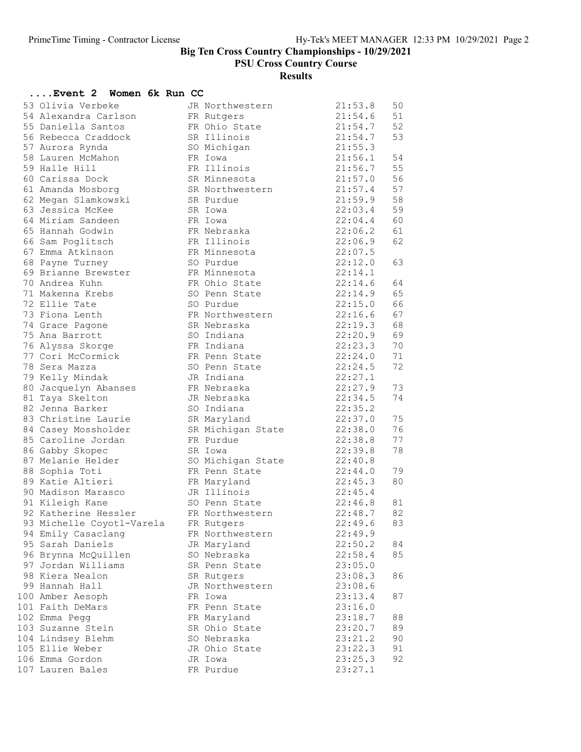PSU Cross Country Course

# Results

| Event 2 Women 6k Run CC               |                             |                    |          |
|---------------------------------------|-----------------------------|--------------------|----------|
| 53 Olivia Verbeke                     | JR Northwestern             | 21:53.8            | 50       |
| 54 Alexandra Carlson                  | FR Rutgers                  | 21:54.6            | 51       |
| 55 Daniella Santos                    | FR Ohio State               | 21:54.7            | 52       |
| 56 Rebecca Craddock                   | SR Illinois                 | 21:54.7            | 53       |
| 57 Aurora Rynda                       | SO Michigan                 | 21:55.3            |          |
| 58 Lauren McMahon                     | FR Iowa                     | 21:56.1            | 54       |
| 59 Halle Hill                         | FR Illinois                 | 21:56.7            | 55       |
| 60 Carissa Dock                       | SR Minnesota                | 21:57.0            | 56       |
| 61 Amanda Mosborg                     | SR Northwestern             | 21:57.4            | 57       |
| 62 Megan Slamkowski                   | SR Purdue                   | 21:59.9            | 58       |
| 63 Jessica McKee                      | SR Iowa                     | 22:03.4            | 59       |
| 64 Miriam Sandeen                     | FR Iowa                     | 22:04.4            | 60       |
| 65 Hannah Godwin                      | FR Nebraska                 | 22:06.2            | 61       |
| 66 Sam Poglitsch                      | FR Illinois                 | 22:06.9            | 62       |
| 67 Emma Atkinson                      | FR Minnesota                | 22:07.5            |          |
| 68 Payne Turney                       | SO Purdue                   | 22:12.0            | 63       |
| 69 Brianne Brewster                   | FR Minnesota                | 22:14.1            |          |
| 70 Andrea Kuhn                        | FR Ohio State               | 22:14.6            | 64       |
| 71 Makenna Krebs                      | SO Penn State               | 22:14.9            | 65       |
| 72 Ellie Tate                         | SO Purdue                   | 22:15.0            | 66       |
| 73 Fiona Lenth                        | FR Northwestern             | 22:16.6            | 67       |
| 74 Grace Pagone                       | SR Nebraska                 | 22:19.3            | 68       |
| 75 Ana Barrott                        | SO Indiana                  | 22:20.9            | 69       |
| 76 Alyssa Skorge<br>77 Cori McCormick | FR Indiana<br>FR Penn State | 22:23.3<br>22:24.0 | 70<br>71 |
| 78 Sera Mazza                         | SO Penn State               | 22:24.5            | 72       |
| 79 Kelly Mindak                       | JR Indiana                  | 22:27.1            |          |
| 80 Jacquelyn Abanses                  | FR Nebraska                 | 22:27.9            | 73       |
| 81 Taya Skelton                       | JR Nebraska                 | 22:34.5            | 74       |
| 82 Jenna Barker                       | SO Indiana                  | 22:35.2            |          |
| 83 Christine Laurie                   | SR Maryland                 | 22:37.0            | 75       |
| 84 Casey Mossholder                   | SR Michigan State           | 22:38.0            | 76       |
| 85 Caroline Jordan                    | FR Purdue                   | 22:38.8            | 77       |
| 86 Gabby Skopec                       | SR Iowa                     | 22:39.8            | 78       |
| 87 Melanie Helder                     | SO Michigan State           | 22:40.8            |          |
| 88 Sophia Toti                        | FR Penn State               | 22:44.0            | 79       |
| 89 Katie Altieri                      | FR Maryland                 | 22:45.3            | 80       |
| 90 Madison Marasco                    | JR Illinois                 | 22:45.4            |          |
| 91 Kileigh Kane                       | SO Penn State               | 22:46.8            | 81       |
| 92 Katherine Hessler                  | FR Northwestern             | 22:48.7            | 82       |
| 93 Michelle Coyotl-Varela             | FR Rutgers                  | 22:49.6            | 83       |
| 94 Emily Casaclang                    | FR Northwestern             | 22:49.9            |          |
| 95 Sarah Daniels                      | JR Maryland                 | 22:50.2            | 84       |
| 96 Brynna McQuillen                   | SO Nebraska                 | 22:58.4            | 85       |
| 97 Jordan Williams                    | SR Penn State               | 23:05.0            |          |
| 98 Kiera Nealon                       | SR Rutgers                  | 23:08.3            | 86       |
| 99 Hannah Hall                        | JR Northwestern             | 23:08.6            |          |
| 100 Amber Aesoph                      | FR Iowa                     | 23:13.4            | 87       |
| 101 Faith DeMars                      | FR Penn State               | 23:16.0            |          |
| 102 Emma Pegg                         | FR Maryland                 | 23:18.7            | 88       |
| 103 Suzanne Stein                     | SR Ohio State               | 23:20.7            | 89       |
| 104 Lindsey Blehm                     | SO Nebraska                 | 23:21.2            | 90       |
| 105 Ellie Weber                       | JR Ohio State               | 23:22.3            | 91       |
| 106 Emma Gordon                       | JR Iowa                     | 23:25.3            | 92       |
| 107 Lauren Bales                      | FR Purdue                   | 23:27.1            |          |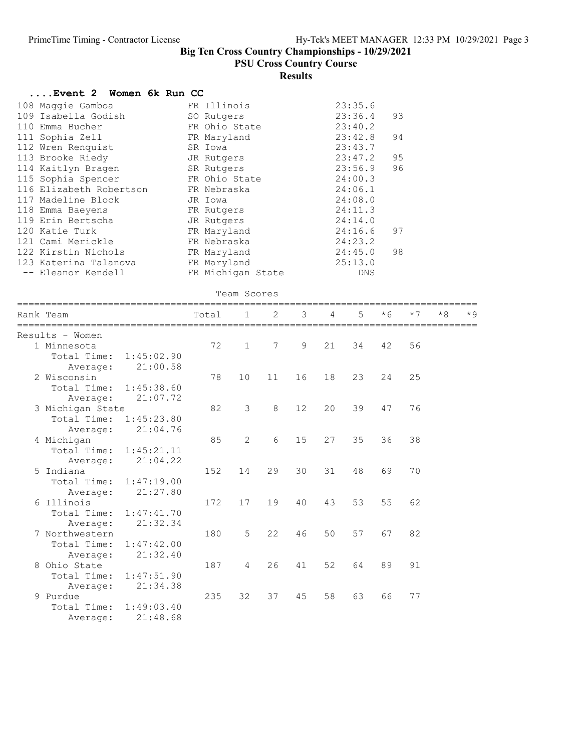PSU Cross Country Course

# Results

| Women 6k Run CC<br>Event 2 |                   |                |    |    |    |         |      |      |      |      |
|----------------------------|-------------------|----------------|----|----|----|---------|------|------|------|------|
| 108 Maggie Gamboa          | FR Illinois       |                |    |    |    | 23:35.6 |      |      |      |      |
| 109 Isabella Godish        | SO Rutgers        |                |    |    |    | 23:36.4 | 93   |      |      |      |
| 110 Emma Bucher            | FR Ohio State     |                |    |    |    | 23:40.2 |      |      |      |      |
| 111 Sophia Zell            | FR Maryland       |                |    |    |    | 23:42.8 | 94   |      |      |      |
| 112 Wren Renquist          | SR Iowa           |                |    |    |    | 23:43.7 |      |      |      |      |
| 113 Brooke Riedy           | JR Rutgers        |                |    |    |    | 23:47.2 | 95   |      |      |      |
| 114 Kaitlyn Bragen         | SR Rutgers        |                |    |    |    | 23:56.9 | 96   |      |      |      |
| 115 Sophia Spencer         | FR Ohio State     |                |    |    |    | 24:00.3 |      |      |      |      |
| 116 Elizabeth Robertson    | FR Nebraska       |                |    |    |    | 24:06.1 |      |      |      |      |
| 117 Madeline Block         | JR Iowa           |                |    |    |    | 24:08.0 |      |      |      |      |
| 118 Emma Baeyens           | FR Rutgers        |                |    |    |    | 24:11.3 |      |      |      |      |
| 119 Erin Bertscha          | JR Rutgers        |                |    |    |    | 24:14.0 |      |      |      |      |
| 120 Katie Turk             | FR Maryland       |                |    |    |    | 24:16.6 | 97   |      |      |      |
| 121 Cami Merickle          | FR Nebraska       |                |    |    |    | 24:23.2 |      |      |      |      |
| 122 Kirstin Nichols        | FR Maryland       |                |    |    |    | 24:45.0 | 98   |      |      |      |
| 123 Katerina Talanova      | FR Maryland       |                |    |    |    | 25:13.0 |      |      |      |      |
| -- Eleanor Kendell         | FR Michigan State |                |    |    |    | DNS     |      |      |      |      |
|                            |                   | Team Scores    |    |    |    |         |      |      |      |      |
| Rank Team                  | Total             | $\mathbf{1}$   | 2  | 3  | 4  | 5       | $*6$ | $*7$ | $*8$ | $*9$ |
| Results - Women            |                   |                |    |    |    |         |      |      |      |      |
| 1 Minnesota                | 72                | $\mathbf{1}$   | 7  | 9  | 21 | 34      | 42   | 56   |      |      |
| Total Time:<br>1:45:02.90  |                   |                |    |    |    |         |      |      |      |      |
| 21:00.58<br>Average:       |                   |                |    |    |    |         |      |      |      |      |
| 2 Wisconsin                | 78                | 10             | 11 | 16 | 18 | 23      | 24   | 25   |      |      |
| 1:45:38.60<br>Total Time:  |                   |                |    |    |    |         |      |      |      |      |
| 21:07.72<br>Average:       |                   |                |    |    |    |         |      |      |      |      |
| 3 Michigan State           | 82                | 3              | 8  | 12 | 20 | 39      | 47   | 76   |      |      |
| Total Time:<br>1:45:23.80  |                   |                |    |    |    |         |      |      |      |      |
| 21:04.76<br>Average:       |                   |                |    |    |    |         |      |      |      |      |
| 4 Michigan                 | 85                | 2              | 6  | 15 | 27 | 35      | 36   | 38   |      |      |
| Total Time:<br>1:45:21.11  |                   |                |    |    |    |         |      |      |      |      |
| 21:04.22<br>Average:       |                   |                |    |    |    |         |      |      |      |      |
| 5 Indiana                  | 152               | 14             | 29 | 30 | 31 | 48      | 69   | 70   |      |      |
| Total Time:<br>1:47:19.00  |                   |                |    |    |    |         |      |      |      |      |
| 21:27.80<br>Average:       |                   |                |    |    |    |         |      |      |      |      |
| 6 Illinois                 | 172               | 17             | 19 | 40 | 43 | 53      | 55   | 62   |      |      |
| 1:47:41.70<br>Total Time:  |                   |                |    |    |    |         |      |      |      |      |
| 21:32.34<br>Average:       |                   |                |    |    |    |         |      |      |      |      |
| 7 Northwestern             | 180               | 5              | 22 | 46 | 50 | 57      | 67   | 82   |      |      |
| Total Time:<br>1:47:42.00  |                   |                |    |    |    |         |      |      |      |      |
| 21:32.40<br>Average:       |                   |                |    |    |    |         |      |      |      |      |
| 8 Ohio State               | 187               | $\overline{4}$ | 26 | 41 | 52 | 64      | 89   | 91   |      |      |
| Total Time:<br>1:47:51.90  |                   |                |    |    |    |         |      |      |      |      |
| 21:34.38<br>Average:       |                   |                |    |    |    |         |      |      |      |      |
| 9 Purdue                   | 235               | 32             | 37 | 45 | 58 | 63      | 66   | 77   |      |      |
| Total Time:<br>1:49:03.40  |                   |                |    |    |    |         |      |      |      |      |
| 21:48.68<br>Average:       |                   |                |    |    |    |         |      |      |      |      |